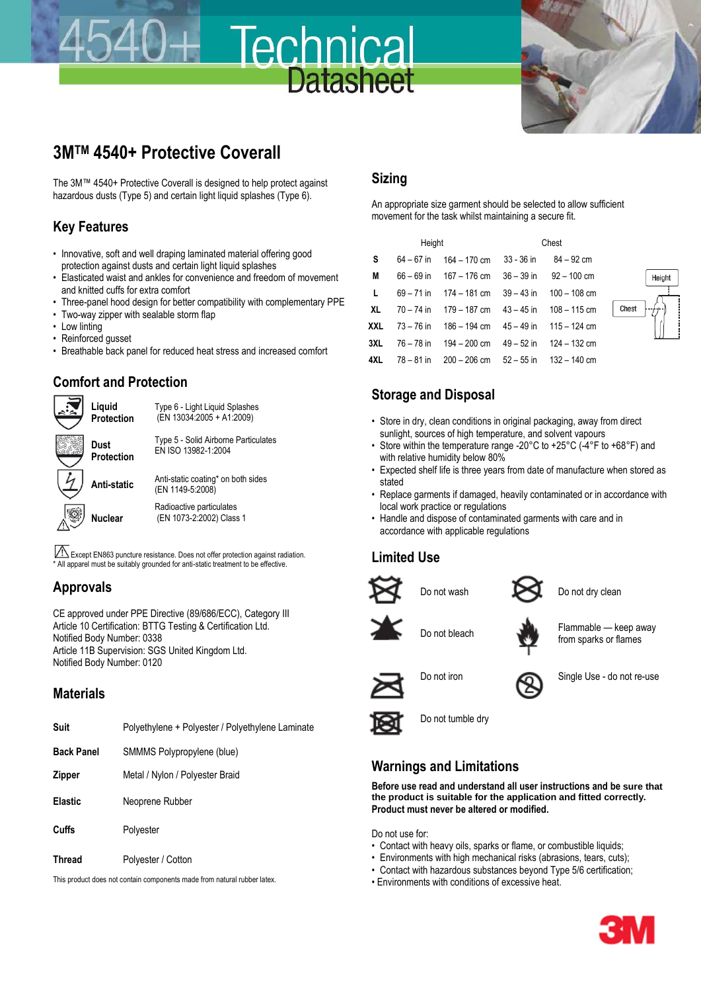# **3MTM 4540+ Protective Coverall**

The 3M™ 4540+ Protective Coverall is designed to help protect against hazardous dusts (Type 5) and certain light liquid splashes (Type 6).

#### **Key Features**

- Innovative, soft and well draping laminated material offering good protection against dusts and certain light liquid splashes
- Elasticated waist and ankles for convenience and freedom of movement and knitted cuffs for extra comfort
- Three-panel hood design for better compatibility with complementary PPE
- Two-way zipper with sealable storm flap
- Low linting
- Reinforced gusset
- Breathable back panel for reduced heat stress and increased comfort

## **Comfort and Protection**



Except EN863 puncture resistance. Does not offer protection against radiation. \* All apparel must be suitably grounded for anti-static treatment to be effective.

#### **Approvals**

CE approved under PPE Directive (89/686/ECC), Category III Article 10 Certification: BTTG Testing & Certification Ltd. Notified Body Number: 0338 Article 11B Supervision: SGS United Kingdom Ltd. Notified Body Number: 0120

#### **Materials**

| Suit              | Polyethylene + Polyester / Polyethylene Laminate |
|-------------------|--------------------------------------------------|
| <b>Back Panel</b> | SMMMS Polypropylene (blue)                       |
| <b>Zipper</b>     | Metal / Nylon / Polyester Braid                  |
| Elastic           | Neoprene Rubber                                  |
| Cuffs             | Polyester                                        |
| <b>Thread</b>     | Polyester / Cotton                               |

This product does not contain components made from natural rubber latex.

#### **Sizing**

Technica

**Datasheet** 

An appropriate size garment should be selected to allow sufficient movement for the task whilst maintaining a secure fit.

| Height       |  |                                                                    | Chest |  |  |
|--------------|--|--------------------------------------------------------------------|-------|--|--|
| $\mathsf{s}$ |  | $64 - 67$ in $164 - 170$ cm $33 - 36$ in $84 - 92$ cm              |       |  |  |
| M            |  | $66 - 69$ in $167 - 176$ cm $36 - 39$ in $92 - 100$ cm             |       |  |  |
| $\mathbf{L}$ |  | $69 - 71$ in $174 - 181$ cm $39 - 43$ in $100 - 108$ cm            |       |  |  |
|              |  | <b>XL</b> $70 - 74$ in $179 - 187$ cm $43 - 45$ in $108 - 115$ cm  |       |  |  |
|              |  | <b>XXL</b> 73 – 76 in 186 – 194 cm 45 – 49 in 115 – 124 cm         |       |  |  |
|              |  | <b>3XL</b> $76 - 78$ in $194 - 200$ cm $49 - 52$ in $124 - 132$ cm |       |  |  |
|              |  | 4XL $78 - 81$ in $200 - 206$ cm $52 - 55$ in $132 - 140$ cm        |       |  |  |



#### **Storage and Disposal**

- Store in dry, clean conditions in original packaging, away from direct sunlight, sources of high temperature, and solvent vapours
- Store within the temperature range -20°C to +25°C (-4°F to +68°F) and with relative humidity below 80%
- Expected shelf life is three years from date of manufacture when stored as stated
- Replace garments if damaged, heavily contaminated or in accordance with local work practice or regulations
- Handle and dispose of contaminated garments with care and in accordance with applicable regulations

#### **Limited Use**







Do not wash Do not dry clean

Do not bleach **Flammable** — keep away from sparks or flames



Do not iron Single Use - do not re-use



Do not tumble dry

#### **Warnings and Limitations**

**Before use read and understand all user instructions and be sure that the product is suitable for the application and fitted correctly. Product must never be altered or modified.**

Do not use for:

- Contact with heavy oils, sparks or flame, or combustible liquids;
- Environments with high mechanical risks (abrasions, tears, cuts);
- Contact with hazardous substances beyond Type 5/6 certification;
- Environments with conditions of excessive heat.